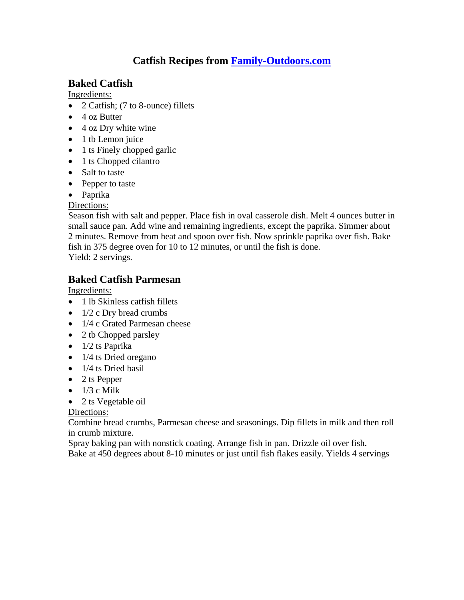## **Catfish Recipes from [Family-Outdoors.com](http://www.family-outdoors.com/)**

### **Baked Catfish**

Ingredients:

- 2 Catfish; (7 to 8-ounce) fillets
- 4 oz Butter
- 4 oz Dry white wine
- $\bullet$  1 tb Lemon juice
- 1 ts Finely chopped garlic
- 1 ts Chopped cilantro
- Salt to taste
- Pepper to taste
- Paprika

Directions:

Season fish with salt and pepper. Place fish in oval casserole dish. Melt 4 ounces butter in small sauce pan. Add wine and remaining ingredients, except the paprika. Simmer about 2 minutes. Remove from heat and spoon over fish. Now sprinkle paprika over fish. Bake fish in 375 degree oven for 10 to 12 minutes, or until the fish is done. Yield: 2 servings.

### **Baked Catfish Parmesan**

Ingredients:

- 1 lb Skinless catfish fillets
- $\bullet$  1/2 c Dry bread crumbs
- 1/4 c Grated Parmesan cheese
- 2 tb Chopped parsley
- $\bullet$  1/2 ts Paprika
- $\bullet$  1/4 ts Dried oregano
- $\bullet$  1/4 ts Dried basil
- $\bullet$  2 ts Pepper
- $\bullet$  1/3 c Milk
- 2 ts Vegetable oil

#### Directions:

Combine bread crumbs, Parmesan cheese and seasonings. Dip fillets in milk and then roll in crumb mixture.

Spray baking pan with nonstick coating. Arrange fish in pan. Drizzle oil over fish. Bake at 450 degrees about 8-10 minutes or just until fish flakes easily. Yields 4 servings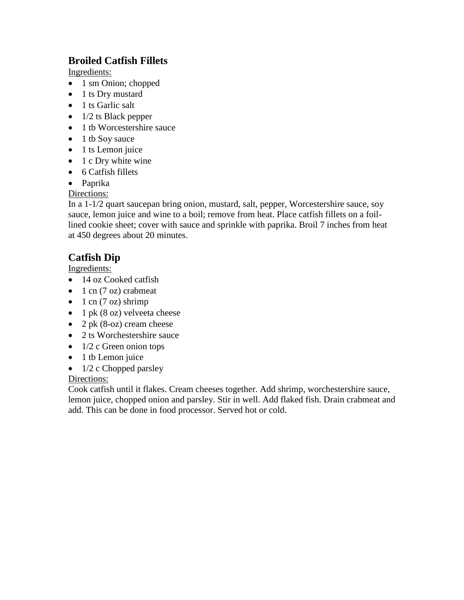## **Broiled Catfish Fillets**

Ingredients:

- 1 sm Onion; chopped
- 1 ts Dry mustard
- $\bullet$  1 ts Garlic salt
- $\bullet$  1/2 ts Black pepper
- 1 tb Worcestershire sauce
- $\bullet$  1 tb Sov sauce
- $\bullet$  1 ts Lemon juice
- $\bullet$  1 c Dry white wine
- 6 Catfish fillets
- Paprika

#### Directions:

In a 1-1/2 quart saucepan bring onion, mustard, salt, pepper, Worcestershire sauce, soy sauce, lemon juice and wine to a boil; remove from heat. Place catfish fillets on a foillined cookie sheet; cover with sauce and sprinkle with paprika. Broil 7 inches from heat at 450 degrees about 20 minutes.

## **Catfish Dip**

Ingredients:

- 14 oz Cooked catfish
- $\bullet$  1 cn (7 oz) crabmeat
- $\bullet$  1 cn (7 oz) shrimp
- $\bullet$  1 pk (8 oz) velveeta cheese
- 2 pk  $(8$ -oz) cream cheese
- 2 ts Worchestershire sauce
- $\bullet$  1/2 c Green onion tops
- 1 tb Lemon juice
- $\bullet$  1/2 c Chopped parsley

Directions:

Cook catfish until it flakes. Cream cheeses together. Add shrimp, worchestershire sauce, lemon juice, chopped onion and parsley. Stir in well. Add flaked fish. Drain crabmeat and add. This can be done in food processor. Served hot or cold.